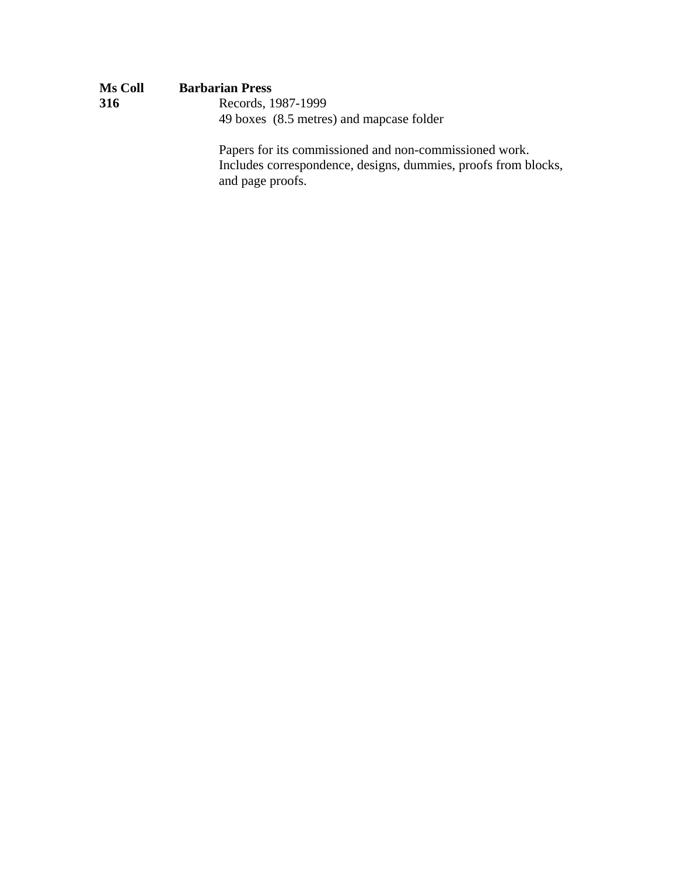| <b>Ms Coll</b> | <b>Barbarian Press</b>                                                                                             |
|----------------|--------------------------------------------------------------------------------------------------------------------|
| 316            | Records, 1987-1999                                                                                                 |
|                | 49 boxes (8.5 metres) and mapcase folder                                                                           |
|                | Papers for its commissioned and non-commissioned work.<br>Includes correspondence, designs, dummies, proofs from b |

Includes correspondence, designs, dummies, proofs from blocks, and page proofs.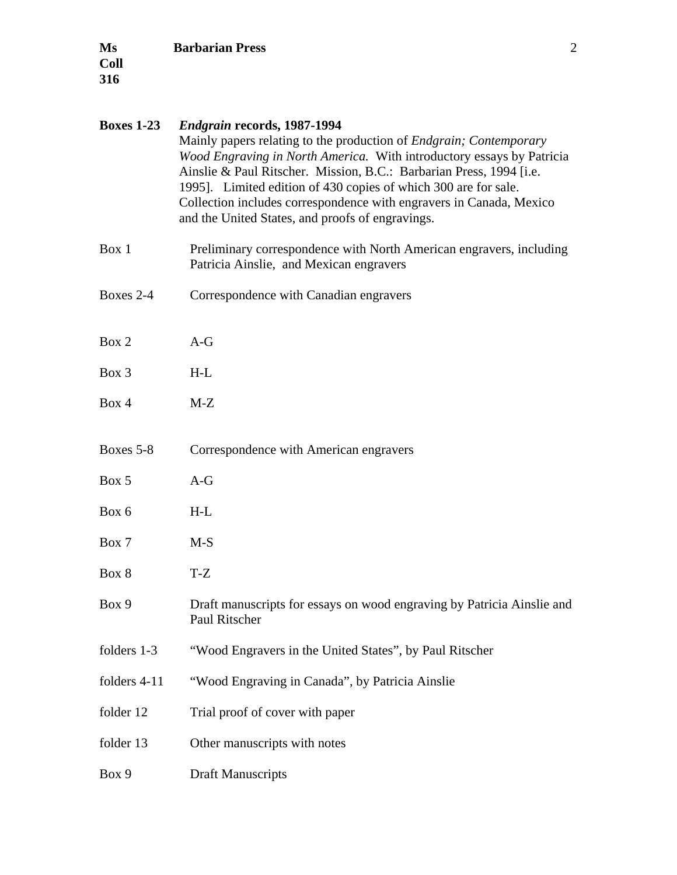| <b>Boxes 1-23</b> | <b>Endgrain records, 1987-1994</b><br>Mainly papers relating to the production of <i>Endgrain</i> ; <i>Contemporary</i><br>Wood Engraving in North America. With introductory essays by Patricia<br>Ainslie & Paul Ritscher. Mission, B.C.: Barbarian Press, 1994 [i.e.<br>1995]. Limited edition of 430 copies of which 300 are for sale.<br>Collection includes correspondence with engravers in Canada, Mexico<br>and the United States, and proofs of engravings. |
|-------------------|-----------------------------------------------------------------------------------------------------------------------------------------------------------------------------------------------------------------------------------------------------------------------------------------------------------------------------------------------------------------------------------------------------------------------------------------------------------------------|
| Box 1             | Preliminary correspondence with North American engravers, including<br>Patricia Ainslie, and Mexican engravers                                                                                                                                                                                                                                                                                                                                                        |
| Boxes 2-4         | Correspondence with Canadian engravers                                                                                                                                                                                                                                                                                                                                                                                                                                |
| Box 2             | $A-G$                                                                                                                                                                                                                                                                                                                                                                                                                                                                 |
| Box 3             | $H-L$                                                                                                                                                                                                                                                                                                                                                                                                                                                                 |
| Box 4             | $M-Z$                                                                                                                                                                                                                                                                                                                                                                                                                                                                 |
| Boxes 5-8         | Correspondence with American engravers                                                                                                                                                                                                                                                                                                                                                                                                                                |
| Box 5             | $A-G$                                                                                                                                                                                                                                                                                                                                                                                                                                                                 |
| Box 6             | $H-L$                                                                                                                                                                                                                                                                                                                                                                                                                                                                 |
| Box 7             | $M-S$                                                                                                                                                                                                                                                                                                                                                                                                                                                                 |
| Box 8             | $T-Z$                                                                                                                                                                                                                                                                                                                                                                                                                                                                 |
| Box 9             | Draft manuscripts for essays on wood engraving by Patricia Ainslie and<br>Paul Ritscher                                                                                                                                                                                                                                                                                                                                                                               |
| folders 1-3       | "Wood Engravers in the United States", by Paul Ritscher                                                                                                                                                                                                                                                                                                                                                                                                               |
| folders 4-11      | "Wood Engraving in Canada", by Patricia Ainslie                                                                                                                                                                                                                                                                                                                                                                                                                       |
| folder 12         | Trial proof of cover with paper                                                                                                                                                                                                                                                                                                                                                                                                                                       |
| folder 13         | Other manuscripts with notes                                                                                                                                                                                                                                                                                                                                                                                                                                          |
| Box 9             | <b>Draft Manuscripts</b>                                                                                                                                                                                                                                                                                                                                                                                                                                              |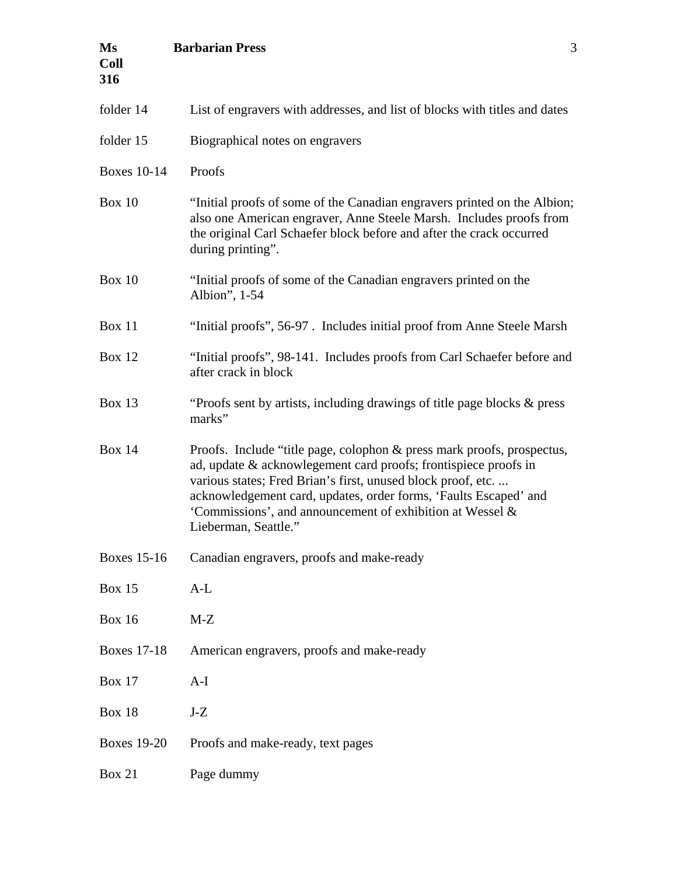| Ms<br><b>Coll</b><br>316 | <b>Barbarian Press</b><br>3                                                                                                                                                                                                                                                                                                                                        |
|--------------------------|--------------------------------------------------------------------------------------------------------------------------------------------------------------------------------------------------------------------------------------------------------------------------------------------------------------------------------------------------------------------|
| folder 14                | List of engravers with addresses, and list of blocks with titles and dates                                                                                                                                                                                                                                                                                         |
| folder 15                | Biographical notes on engravers                                                                                                                                                                                                                                                                                                                                    |
| <b>Boxes 10-14</b>       | Proofs                                                                                                                                                                                                                                                                                                                                                             |
| Box $10$                 | "Initial proofs of some of the Canadian engravers printed on the Albion;<br>also one American engraver, Anne Steele Marsh. Includes proofs from<br>the original Carl Schaefer block before and after the crack occurred<br>during printing".                                                                                                                       |
| <b>Box 10</b>            | "Initial proofs of some of the Canadian engravers printed on the<br>Albion", 1-54                                                                                                                                                                                                                                                                                  |
| <b>Box 11</b>            | "Initial proofs", 56-97. Includes initial proof from Anne Steele Marsh                                                                                                                                                                                                                                                                                             |
| <b>Box 12</b>            | "Initial proofs", 98-141. Includes proofs from Carl Schaefer before and<br>after crack in block                                                                                                                                                                                                                                                                    |
| <b>Box 13</b>            | "Proofs sent by artists, including drawings of title page blocks & press<br>marks"                                                                                                                                                                                                                                                                                 |
| <b>Box 14</b>            | Proofs. Include "title page, colophon & press mark proofs, prospectus,<br>ad, update & acknowlegement card proofs; frontispiece proofs in<br>various states; Fred Brian's first, unused block proof, etc.<br>acknowledgement card, updates, order forms, 'Faults Escaped' and<br>'Commissions', and announcement of exhibition at Wessel &<br>Lieberman, Seattle." |
| <b>Boxes 15-16</b>       | Canadian engravers, proofs and make-ready                                                                                                                                                                                                                                                                                                                          |
| <b>Box 15</b>            | $A-L$                                                                                                                                                                                                                                                                                                                                                              |
| <b>Box 16</b>            | $M-Z$                                                                                                                                                                                                                                                                                                                                                              |
| <b>Boxes 17-18</b>       | American engravers, proofs and make-ready                                                                                                                                                                                                                                                                                                                          |
| <b>Box 17</b>            | $A-I$                                                                                                                                                                                                                                                                                                                                                              |
| <b>Box 18</b>            | $J-Z$                                                                                                                                                                                                                                                                                                                                                              |
| <b>Boxes 19-20</b>       | Proofs and make-ready, text pages                                                                                                                                                                                                                                                                                                                                  |
| <b>Box 21</b>            | Page dummy                                                                                                                                                                                                                                                                                                                                                         |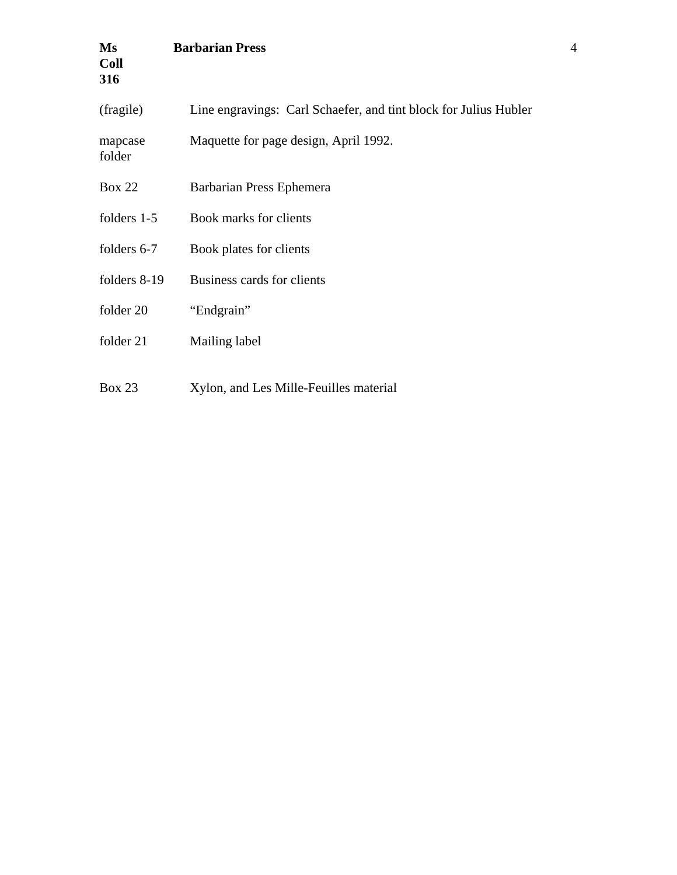| Ms<br><b>Coll</b><br>316 | <b>Barbarian Press</b>                                           |
|--------------------------|------------------------------------------------------------------|
| (fragile)                | Line engravings: Carl Schaefer, and tint block for Julius Hubler |
| mapcase<br>folder        | Maquette for page design, April 1992.                            |
| <b>Box 22</b>            | Barbarian Press Ephemera                                         |
| folders 1-5              | Book marks for clients                                           |
| folders 6-7              | Book plates for clients                                          |
| folders 8-19             | Business cards for clients                                       |
| folder 20                | "Endgrain"                                                       |
| folder 21                | Mailing label                                                    |
| <b>Box 23</b>            | Xylon, and Les Mille-Feuilles material                           |

4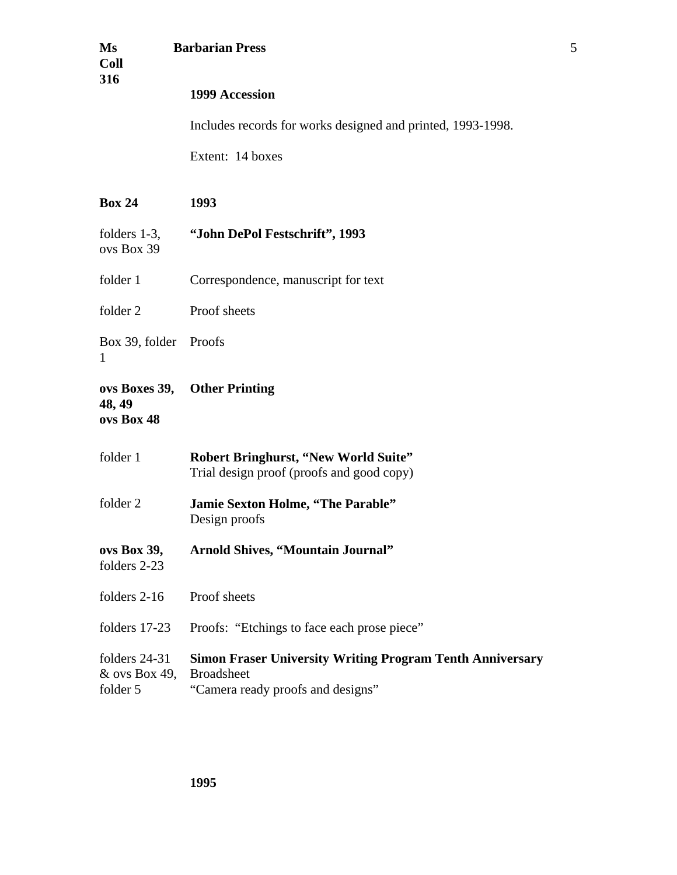| Ms<br><b>Coll</b><br>316                     | <b>Barbarian Press</b>                                                                                                     | 5 |
|----------------------------------------------|----------------------------------------------------------------------------------------------------------------------------|---|
|                                              | 1999 Accession                                                                                                             |   |
|                                              | Includes records for works designed and printed, 1993-1998.                                                                |   |
|                                              | Extent: 14 boxes                                                                                                           |   |
| <b>Box 24</b>                                | 1993                                                                                                                       |   |
| folders $1-3$ ,<br>ovs Box 39                | "John DePol Festschrift", 1993                                                                                             |   |
| folder 1                                     | Correspondence, manuscript for text                                                                                        |   |
| folder 2                                     | Proof sheets                                                                                                               |   |
| Box 39, folder<br>1                          | Proofs                                                                                                                     |   |
| ovs Boxes 39,<br>48, 49<br>ovs Box 48        | <b>Other Printing</b>                                                                                                      |   |
| folder 1                                     | <b>Robert Bringhurst, "New World Suite"</b><br>Trial design proof (proofs and good copy)                                   |   |
| folder 2                                     | Jamie Sexton Holme, "The Parable"<br>Design proofs                                                                         |   |
| ovs Box 39,<br>folders 2-23                  | <b>Arnold Shives, "Mountain Journal"</b>                                                                                   |   |
| folders 2-16                                 | Proof sheets                                                                                                               |   |
| folders 17-23                                | Proofs: "Etchings to face each prose piece"                                                                                |   |
| folders $24-31$<br>& ovs Box 49,<br>folder 5 | <b>Simon Fraser University Writing Program Tenth Anniversary</b><br><b>Broadsheet</b><br>"Camera ready proofs and designs" |   |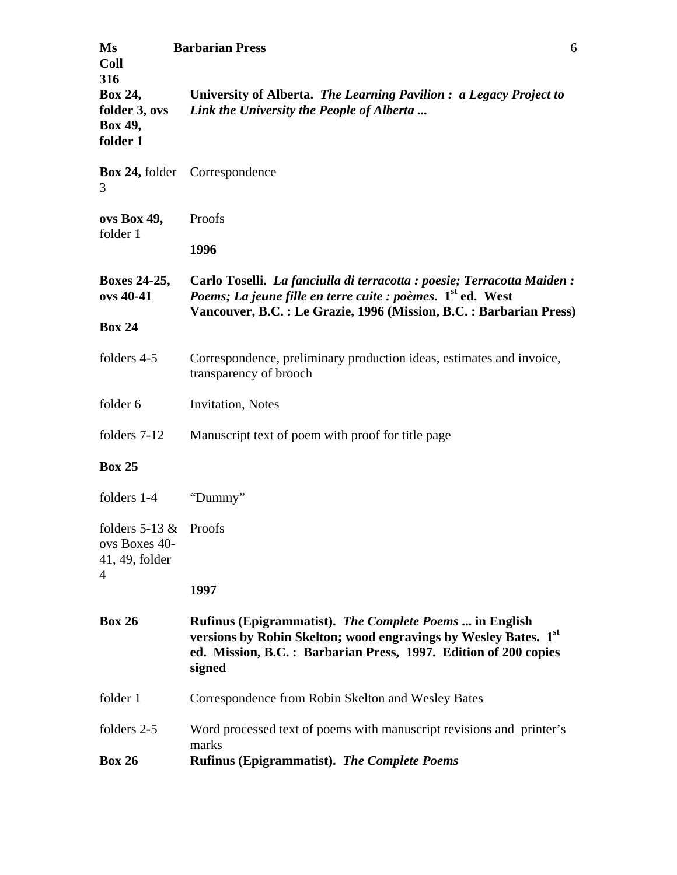| Ms<br><b>Coll</b><br>316                                 | <b>Barbarian Press</b><br>6                                                                                                                                                                                               |
|----------------------------------------------------------|---------------------------------------------------------------------------------------------------------------------------------------------------------------------------------------------------------------------------|
| Box 24,<br>folder 3, ovs<br>Box 49,<br>folder 1          | University of Alberta. The Learning Pavilion : a Legacy Project to<br>Link the University the People of Alberta                                                                                                           |
| 3                                                        | <b>Box 24, folder</b> Correspondence                                                                                                                                                                                      |
| ovs Box 49,                                              | Proofs                                                                                                                                                                                                                    |
| folder 1                                                 | 1996                                                                                                                                                                                                                      |
| <b>Boxes 24-25,</b><br>ovs 40-41                         | Carlo Toselli. La fanciulla di terracotta : poesie; Terracotta Maiden :<br>Poems; La jeune fille en terre cuite : poèmes. 1 <sup>st</sup> ed. West<br>Vancouver, B.C. : Le Grazie, 1996 (Mission, B.C. : Barbarian Press) |
| <b>Box 24</b>                                            |                                                                                                                                                                                                                           |
| folders 4-5                                              | Correspondence, preliminary production ideas, estimates and invoice,<br>transparency of brooch                                                                                                                            |
| folder 6                                                 | <b>Invitation</b> , Notes                                                                                                                                                                                                 |
| folders 7-12                                             | Manuscript text of poem with proof for title page                                                                                                                                                                         |
| <b>Box 25</b>                                            |                                                                                                                                                                                                                           |
| folders 1-4                                              | "Dummy"                                                                                                                                                                                                                   |
| folders $5-13$ &<br>ovs Boxes 40-<br>41, 49, folder<br>4 | Proofs                                                                                                                                                                                                                    |
|                                                          | 1997                                                                                                                                                                                                                      |
| <b>Box 26</b>                                            | Rufinus (Epigrammatist). The Complete Poems  in English<br>versions by Robin Skelton; wood engravings by Wesley Bates. 1st<br>ed. Mission, B.C.: Barbarian Press, 1997. Edition of 200 copies<br>signed                   |
| folder 1                                                 | Correspondence from Robin Skelton and Wesley Bates                                                                                                                                                                        |
| folders 2-5<br><b>Box 26</b>                             | Word processed text of poems with manuscript revisions and printer's<br>marks<br><b>Rufinus (Epigrammatist). The Complete Poems</b>                                                                                       |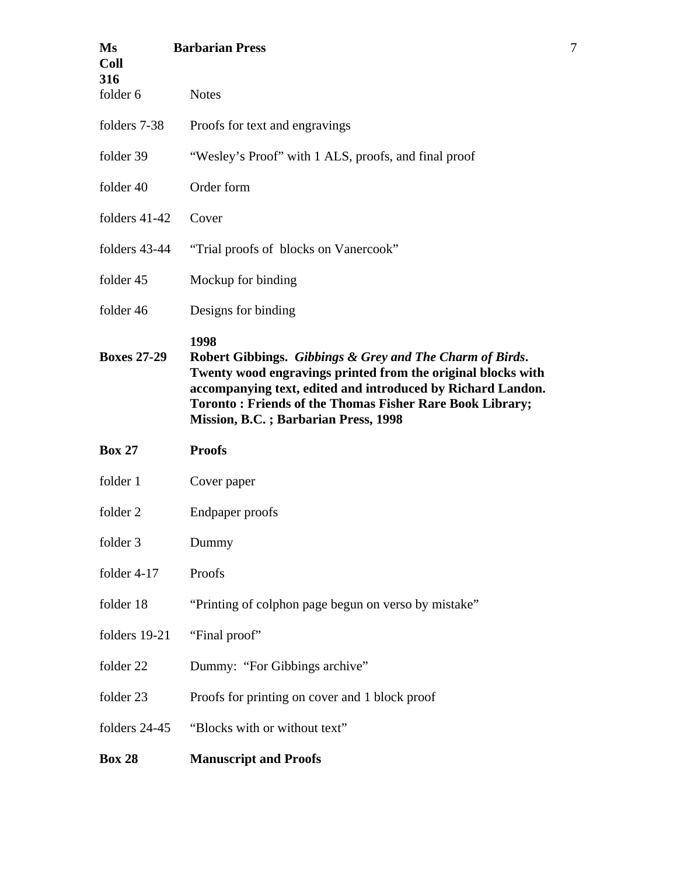| Ms<br><b>Coll</b><br>316 | <b>Barbarian Press</b>                                                                                                                                                                                                                                                                                            |
|--------------------------|-------------------------------------------------------------------------------------------------------------------------------------------------------------------------------------------------------------------------------------------------------------------------------------------------------------------|
| folder 6                 | <b>Notes</b>                                                                                                                                                                                                                                                                                                      |
| folders 7-38             | Proofs for text and engravings                                                                                                                                                                                                                                                                                    |
| folder 39                | "Wesley's Proof" with 1 ALS, proofs, and final proof                                                                                                                                                                                                                                                              |
| folder 40                | Order form                                                                                                                                                                                                                                                                                                        |
| folders $41-42$          | Cover                                                                                                                                                                                                                                                                                                             |
| folders 43-44            | "Trial proofs of blocks on Vanercook"                                                                                                                                                                                                                                                                             |
| folder 45                | Mockup for binding                                                                                                                                                                                                                                                                                                |
| folder 46                | Designs for binding                                                                                                                                                                                                                                                                                               |
| <b>Boxes 27-29</b>       | 1998<br>Robert Gibbings. Gibbings & Grey and The Charm of Birds.<br>Twenty wood engravings printed from the original blocks with<br>accompanying text, edited and introduced by Richard Landon.<br><b>Toronto: Friends of the Thomas Fisher Rare Book Library;</b><br><b>Mission, B.C.; Barbarian Press, 1998</b> |
| <b>Box 27</b>            | <b>Proofs</b>                                                                                                                                                                                                                                                                                                     |
| folder 1                 | Cover paper                                                                                                                                                                                                                                                                                                       |
| folder 2                 | Endpaper proofs                                                                                                                                                                                                                                                                                                   |
| folder 3                 | Dummy                                                                                                                                                                                                                                                                                                             |
| folder $4-17$            | Proofs                                                                                                                                                                                                                                                                                                            |
| folder 18                | "Printing of colphon page begun on verso by mistake"                                                                                                                                                                                                                                                              |
| folders 19-21            | "Final proof"                                                                                                                                                                                                                                                                                                     |
| folder 22                | Dummy: "For Gibbings archive"                                                                                                                                                                                                                                                                                     |
| folder 23                | Proofs for printing on cover and 1 block proof                                                                                                                                                                                                                                                                    |
| folders 24-45            | "Blocks with or without text"                                                                                                                                                                                                                                                                                     |
| <b>Box 28</b>            | <b>Manuscript and Proofs</b>                                                                                                                                                                                                                                                                                      |

7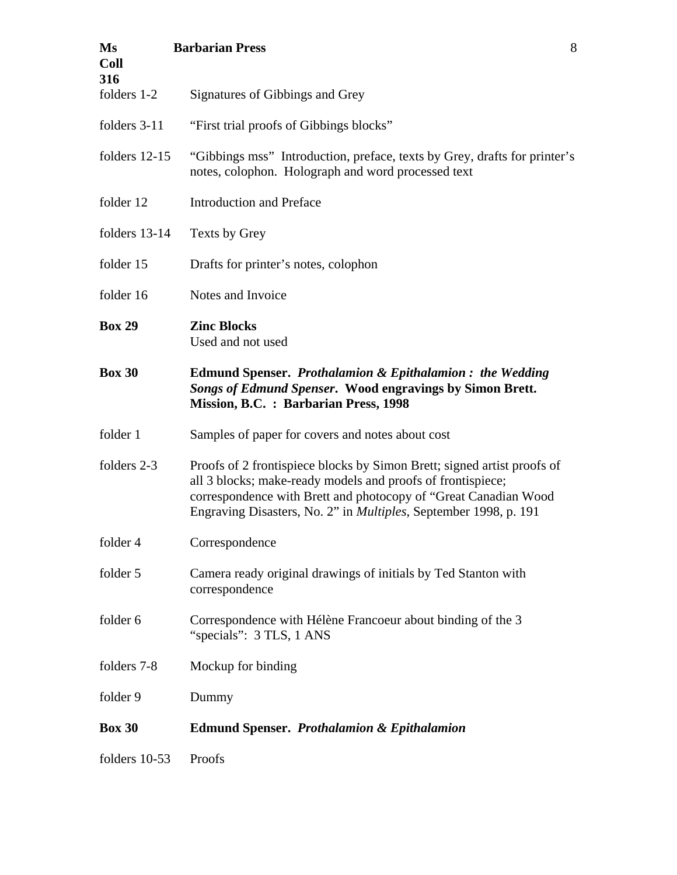| Ms<br><b>Coll</b><br>316 | <b>Barbarian Press</b><br>8                                                                                                                                                                                                                                                           |  |
|--------------------------|---------------------------------------------------------------------------------------------------------------------------------------------------------------------------------------------------------------------------------------------------------------------------------------|--|
| folders 1-2              | Signatures of Gibbings and Grey                                                                                                                                                                                                                                                       |  |
| folders 3-11             | "First trial proofs of Gibbings blocks"                                                                                                                                                                                                                                               |  |
| folders 12-15            | "Gibbings mss" Introduction, preface, texts by Grey, drafts for printer's<br>notes, colophon. Holograph and word processed text                                                                                                                                                       |  |
| folder 12                | <b>Introduction and Preface</b>                                                                                                                                                                                                                                                       |  |
| folders 13-14            | Texts by Grey                                                                                                                                                                                                                                                                         |  |
| folder 15                | Drafts for printer's notes, colophon                                                                                                                                                                                                                                                  |  |
| folder 16                | Notes and Invoice                                                                                                                                                                                                                                                                     |  |
| <b>Box 29</b>            | <b>Zinc Blocks</b><br>Used and not used                                                                                                                                                                                                                                               |  |
| <b>Box 30</b>            | <b>Edmund Spenser. Prothalamion &amp; Epithalamion: the Wedding</b><br>Songs of Edmund Spenser. Wood engravings by Simon Brett.<br>Mission, B.C. : Barbarian Press, 1998                                                                                                              |  |
| folder 1                 | Samples of paper for covers and notes about cost                                                                                                                                                                                                                                      |  |
| folders 2-3              | Proofs of 2 frontispiece blocks by Simon Brett; signed artist proofs of<br>all 3 blocks; make-ready models and proofs of frontispiece;<br>correspondence with Brett and photocopy of "Great Canadian Wood<br>Engraving Disasters, No. 2" in <i>Multiples</i> , September 1998, p. 191 |  |
| folder 4                 | Correspondence                                                                                                                                                                                                                                                                        |  |
| folder 5                 | Camera ready original drawings of initials by Ted Stanton with<br>correspondence                                                                                                                                                                                                      |  |
| folder 6                 | Correspondence with Hélène Francoeur about binding of the 3<br>"specials": 3 TLS, 1 ANS                                                                                                                                                                                               |  |
| folders 7-8              | Mockup for binding                                                                                                                                                                                                                                                                    |  |
| folder 9                 | Dummy                                                                                                                                                                                                                                                                                 |  |
| <b>Box 30</b>            | <b>Edmund Spenser. Prothalamion &amp; Epithalamion</b>                                                                                                                                                                                                                                |  |
| folders 10-53            | Proofs                                                                                                                                                                                                                                                                                |  |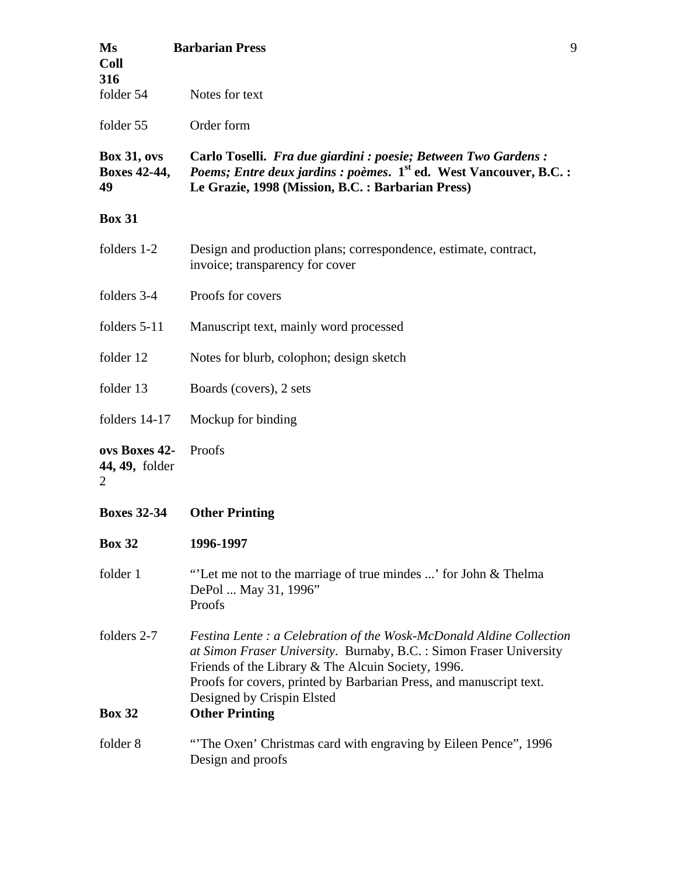| Ms<br><b>Coll</b><br>316                 | 9<br><b>Barbarian Press</b>                                                                                                                                                                                                                                                                                                            |  |
|------------------------------------------|----------------------------------------------------------------------------------------------------------------------------------------------------------------------------------------------------------------------------------------------------------------------------------------------------------------------------------------|--|
| folder 54                                | Notes for text                                                                                                                                                                                                                                                                                                                         |  |
| folder 55                                | Order form                                                                                                                                                                                                                                                                                                                             |  |
| <b>Box 31, ovs</b><br>Boxes 42-44,<br>49 | Carlo Toselli. Fra due giardini : poesie; Between Two Gardens :<br><i>Poems; Entre deux jardins : poèmes.</i> 1 <sup>st</sup> ed. West Vancouver, B.C. :<br>Le Grazie, 1998 (Mission, B.C. : Barbarian Press)                                                                                                                          |  |
| <b>Box 31</b>                            |                                                                                                                                                                                                                                                                                                                                        |  |
| folders 1-2                              | Design and production plans; correspondence, estimate, contract,<br>invoice; transparency for cover                                                                                                                                                                                                                                    |  |
| folders 3-4                              | Proofs for covers                                                                                                                                                                                                                                                                                                                      |  |
| folders 5-11                             | Manuscript text, mainly word processed                                                                                                                                                                                                                                                                                                 |  |
| folder 12                                | Notes for blurb, colophon; design sketch                                                                                                                                                                                                                                                                                               |  |
| folder 13                                | Boards (covers), 2 sets                                                                                                                                                                                                                                                                                                                |  |
| folders $14-17$                          | Mockup for binding                                                                                                                                                                                                                                                                                                                     |  |
| ovs Boxes 42-<br>44, 49, folder<br>2     | Proofs                                                                                                                                                                                                                                                                                                                                 |  |
| <b>Boxes 32-34</b>                       | <b>Other Printing</b>                                                                                                                                                                                                                                                                                                                  |  |
| <b>Box 32</b>                            | 1996-1997                                                                                                                                                                                                                                                                                                                              |  |
| folder 1                                 | "Let me not to the marriage of true mindes ' for John & Thelma<br>DePol  May 31, 1996"<br>Proofs                                                                                                                                                                                                                                       |  |
| folders 2-7<br><b>Box 32</b>             | <i>Festina Lente : a Celebration of the Wosk-McDonald Aldine Collection</i><br>at Simon Fraser University. Burnaby, B.C. : Simon Fraser University<br>Friends of the Library & The Alcuin Society, 1996.<br>Proofs for covers, printed by Barbarian Press, and manuscript text.<br>Designed by Crispin Elsted<br><b>Other Printing</b> |  |
| folder 8                                 | "The Oxen' Christmas card with engraving by Eileen Pence", 1996<br>Design and proofs                                                                                                                                                                                                                                                   |  |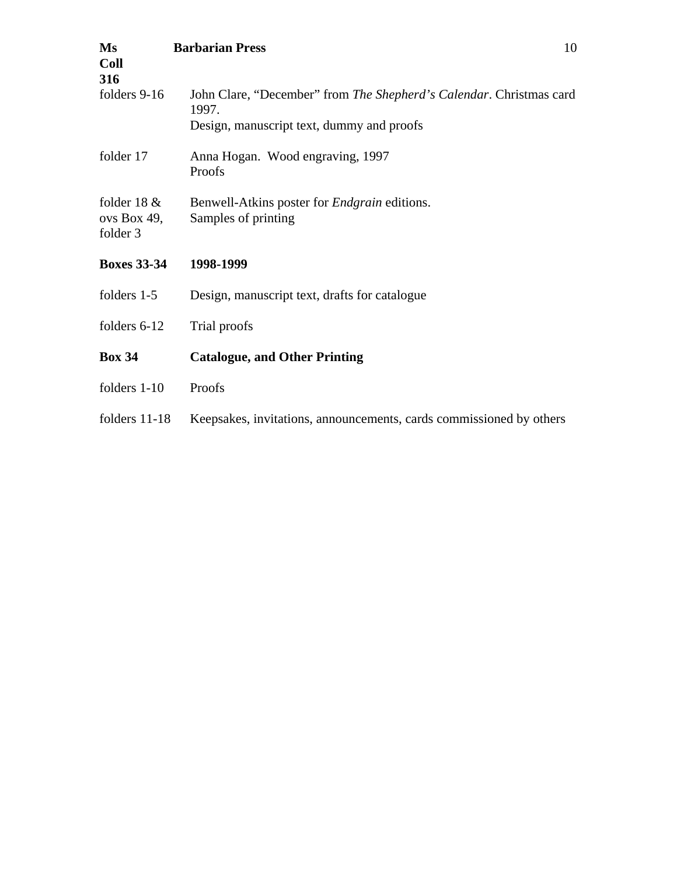| Ms<br><b>Coll</b><br>316                  | 10<br><b>Barbarian Press</b>                                                                                              |
|-------------------------------------------|---------------------------------------------------------------------------------------------------------------------------|
| folders 9-16                              | John Clare, "December" from The Shepherd's Calendar. Christmas card<br>1997.<br>Design, manuscript text, dummy and proofs |
| folder 17                                 | Anna Hogan. Wood engraving, 1997<br>Proofs                                                                                |
| folder 18 $\&$<br>ovs Box 49,<br>folder 3 | Benwell-Atkins poster for <i>Endgrain</i> editions.<br>Samples of printing                                                |
| <b>Boxes 33-34</b>                        | 1998-1999                                                                                                                 |
| folders 1-5                               | Design, manuscript text, drafts for catalogue                                                                             |
| folders 6-12                              | Trial proofs                                                                                                              |
| <b>Box 34</b>                             | <b>Catalogue, and Other Printing</b>                                                                                      |
| folders 1-10                              | Proofs                                                                                                                    |
| folders 11-18                             | Keepsakes, invitations, announcements, cards commissioned by others                                                       |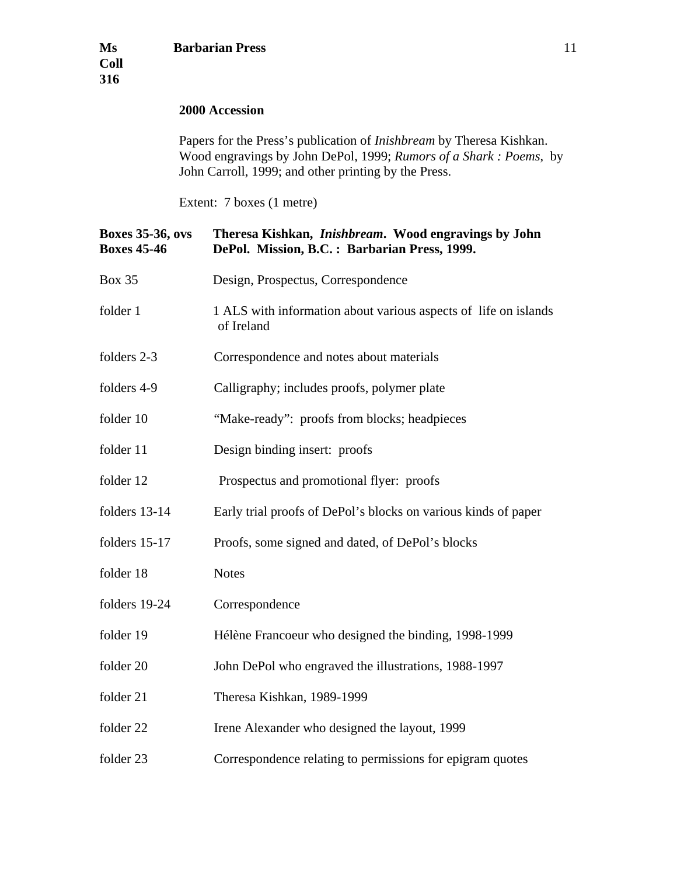## **2000 Accession**

Papers for the Press's publication of *Inishbream* by Theresa Kishkan. Wood engravings by John DePol, 1999; *Rumors of a Shark : Poems*, by John Carroll, 1999; and other printing by the Press.

Extent: 7 boxes (1 metre)

| <b>Boxes 35-36, ovs</b><br><b>Boxes 45-46</b> | Theresa Kishkan, Inishbream. Wood engravings by John<br>DePol. Mission, B.C.: Barbarian Press, 1999. |
|-----------------------------------------------|------------------------------------------------------------------------------------------------------|
| <b>Box 35</b>                                 | Design, Prospectus, Correspondence                                                                   |
| folder 1                                      | 1 ALS with information about various aspects of life on islands<br>of Ireland                        |
| folders 2-3                                   | Correspondence and notes about materials                                                             |
| folders 4-9                                   | Calligraphy; includes proofs, polymer plate                                                          |
| folder 10                                     | "Make-ready": proofs from blocks; headpieces                                                         |
| folder 11                                     | Design binding insert: proofs                                                                        |
| folder 12                                     | Prospectus and promotional flyer: proofs                                                             |
| folders 13-14                                 | Early trial proofs of DePol's blocks on various kinds of paper                                       |
| folders 15-17                                 | Proofs, some signed and dated, of DePol's blocks                                                     |
| folder 18                                     | <b>Notes</b>                                                                                         |
| folders 19-24                                 | Correspondence                                                                                       |
| folder 19                                     | Hélène Francoeur who designed the binding, 1998-1999                                                 |
| folder 20                                     | John DePol who engraved the illustrations, 1988-1997                                                 |
| folder 21                                     | Theresa Kishkan, 1989-1999                                                                           |
| folder 22                                     | Irene Alexander who designed the layout, 1999                                                        |
| folder 23                                     | Correspondence relating to permissions for epigram quotes                                            |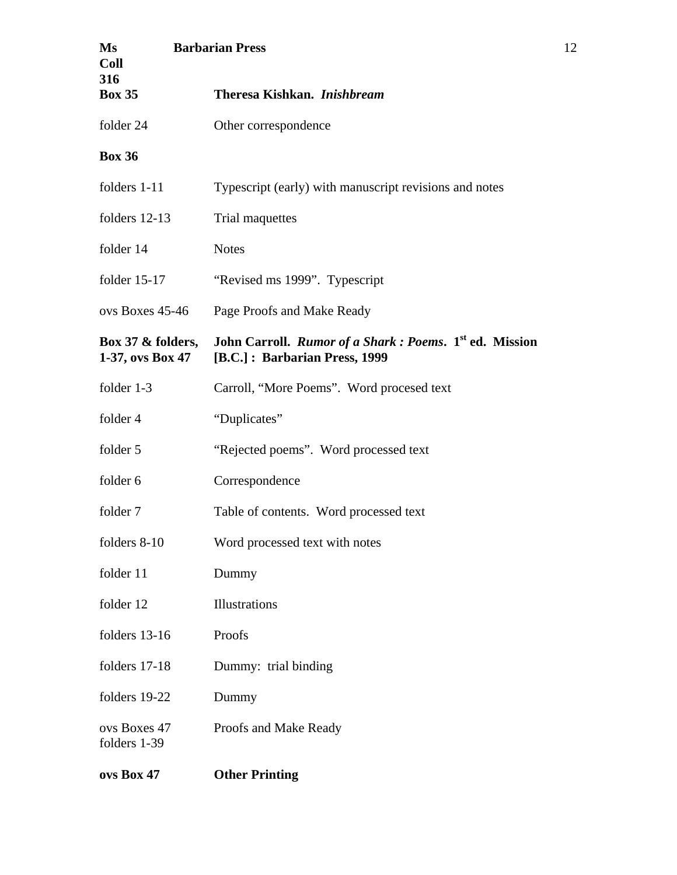| Ms<br><b>Coll</b>                        | <b>Barbarian Press</b>                                                                               |
|------------------------------------------|------------------------------------------------------------------------------------------------------|
| 316<br><b>Box 35</b>                     | Theresa Kishkan. Inishbream                                                                          |
| folder 24                                | Other correspondence                                                                                 |
| <b>Box 36</b>                            |                                                                                                      |
| folders 1-11                             | Typescript (early) with manuscript revisions and notes                                               |
| folders 12-13                            | Trial maquettes                                                                                      |
| folder 14                                | <b>Notes</b>                                                                                         |
| folder $15-17$                           | "Revised ms 1999". Typescript                                                                        |
| ovs Boxes 45-46                          | Page Proofs and Make Ready                                                                           |
| Box 37 $\&$ folders,<br>1-37, ovs Box 47 | John Carroll. Rumor of a Shark : Poems. 1 <sup>st</sup> ed. Mission<br>[B.C.]: Barbarian Press, 1999 |
| folder 1-3                               | Carroll, "More Poems". Word procesed text                                                            |
| folder 4                                 | "Duplicates"                                                                                         |
| folder 5                                 | "Rejected poems". Word processed text                                                                |
| folder 6                                 | Correspondence                                                                                       |
| folder 7                                 | Table of contents. Word processed text                                                               |
| folders 8-10                             | Word processed text with notes                                                                       |
| folder 11                                | Dummy                                                                                                |
| folder 12                                | Illustrations                                                                                        |
| folders 13-16                            | Proofs                                                                                               |
| folders 17-18                            | Dummy: trial binding                                                                                 |
| folders 19-22                            | Dummy                                                                                                |
| ovs Boxes 47<br>folders 1-39             | Proofs and Make Ready                                                                                |
| ovs Box 47                               | <b>Other Printing</b>                                                                                |

12